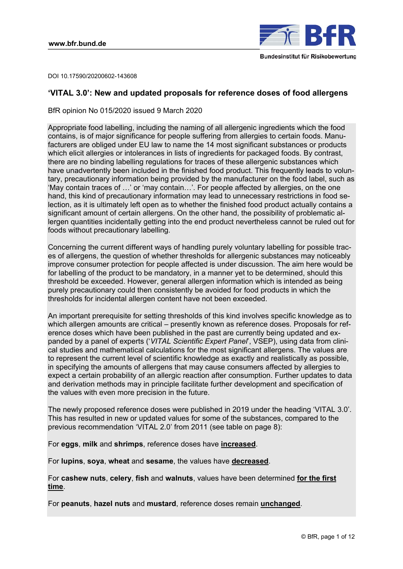

DOI 10.17590/20200602-143608

# **'VITAL 3.0': New and updated proposals for reference doses of food allergens**

BfR opinion No 015/2020 issued 9 March 2020

Appropriate food labelling, including the naming of all allergenic ingredients which the food contains, is of major significance for people suffering from allergies to certain foods. Manufacturers are obliged under EU law to name the 14 most significant substances or products which elicit allergies or intolerances in lists of ingredients for packaged foods. By contrast, there are no binding labelling regulations for traces of these allergenic substances which have unadvertently been included in the finished food product. This frequently leads to voluntary, precautionary information being provided by the manufacturer on the food label, such as 'May contain traces of …' or 'may contain…'. For people affected by allergies, on the one hand, this kind of precautionary information may lead to unnecessary restrictions in food selection, as it is ultimately left open as to whether the finished food product actually contains a significant amount of certain allergens. On the other hand, the possibility of problematic allergen quantities incidentally getting into the end product nevertheless cannot be ruled out for foods without precautionary labelling.

Concerning the current different ways of handling purely voluntary labelling for possible traces of allergens, the question of whether thresholds for allergenic substances may noticeably improve consumer protection for people affected is under discussion. The aim here would be for labelling of the product to be mandatory, in a manner yet to be determined, should this threshold be exceeded. However, general allergen information which is intended as being purely precautionary could then consistently be avoided for food products in which the thresholds for incidental allergen content have not been exceeded.

An important prerequisite for setting thresholds of this kind involves specific knowledge as to which allergen amounts are critical – presently known as reference doses. Proposals for reference doses which have been published in the past are currently being updated and expanded by a panel of experts ('*VITAL Scientific Expert Panel*', VSEP), using data from clinical studies and mathematical calculations for the most significant allergens. The values are to represent the current level of scientific knowledge as exactly and realistically as possible, in specifying the amounts of allergens that may cause consumers affected by allergies to expect a certain probability of an allergic reaction after consumption. Further updates to data and derivation methods may in principle facilitate further development and specification of the values with even more precision in the future.

The newly proposed reference doses were published in 2019 under the heading 'VITAL 3.0'. This has resulted in new or updated values for some of the substances, compared to the previous recommendation 'VITAL 2.0' from 2011 ([see table on page 8](#page-7-0)):

For **eggs**, **milk** and **shrimps**, reference doses have **increased**.

For **lupins**, **soya**, **wheat** and **sesame**, the values have **decreased**.

For **cashew nuts**, **celery**, **fish** and **walnuts**, values have been determined **for the first time**.

For **peanuts**, **hazel nuts** and **mustard**, reference doses remain **unchanged**.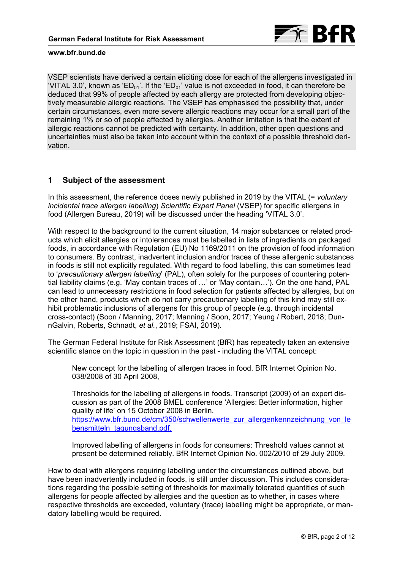

VSEP scientists have derived a certain eliciting dose for each of the allergens investigated in 'VITAL 3.0', known as 'ED<sub>01</sub>'. If the 'ED<sub>01</sub>' value is not exceeded in food, it can therefore be deduced that 99% of people affected by each allergy are protected from developing objectively measurable allergic reactions. The VSEP has emphasised the possibility that, under certain circumstances, even more severe allergic reactions may occur for a small part of the remaining 1% or so of people affected by allergies. Another limitation is that the extent of allergic reactions cannot be predicted with certainty. In addition, other open questions and uncertainties must also be taken into account within the context of a possible threshold derivation.

## **1 Subject of the assessment**

In this assessment, the reference doses newly published in 2019 by the VITAL (= *voluntary incidental trace allergen labelling*) *Scientific Expert Panel* (VSEP) for specific allergens in food (Allergen Bureau, 2019) will be discussed under the heading 'VITAL 3.0'.

With respect to the background to the current situation, 14 major substances or related products which elicit allergies or intolerances must be labelled in lists of ingredients on packaged foods, in accordance with Regulation (EU) No 1169/2011 on the provision of food information to consumers. By contrast, inadvertent inclusion and/or traces of these allergenic substances in foods is still not explicitly regulated. With regard to food labelling, this can sometimes lead to '*precautionary allergen labelling*' (PAL), often solely for the purposes of countering potential liability claims (e.g. 'May contain traces of …' or 'May contain…'). On the one hand, PAL can lead to unnecessary restrictions in food selection for patients affected by allergies, but on the other hand, products which do not carry precautionary labelling of this kind may still exhibit problematic inclusions of allergens for this group of people (e.g. through incidental cross-contact) (Soon / Manning, 2017; Manning / Soon, 2017; Yeung / Robert, 2018; DunnGalvin, Roberts, Schnadt, *et al.*, 2019; FSAI, 2019).

The German Federal Institute for Risk Assessment (BfR) has repeatedly taken an extensive scientific stance on the topic in question in the past - including the VITAL concept:

New concept for the labelling of allergen traces in food. BfR Internet Opinion No. 038/2008 of 30 April 2008,

Thresholds for the labelling of allergens in foods. Transcript (2009) of an expert discussion as part of the 2008 BMEL conference 'Allergies: Better information, higher quality of life' on 15 October 2008 in Berlin. [https://www.bfr.bund.de/cm/350/schwellenwerte\\_zur\\_allergenkennzeichnung\\_von\\_le](https://www.bfr.bund.de/cm/350/schwellenwerte_zur_allergenkennzeichnung_von_lebensmitteln_tagungsband.pdf) [bensmitteln\\_tagungsband.pdf,](https://www.bfr.bund.de/cm/350/schwellenwerte_zur_allergenkennzeichnung_von_lebensmitteln_tagungsband.pdf)

Improved labelling of allergens in foods for consumers: Threshold values cannot at present be determined reliably. BfR Internet Opinion No. 002/2010 of 29 July 2009.

How to deal with allergens requiring labelling under the circumstances outlined above, but have been inadvertently included in foods, is still under discussion. This includes considerations regarding the possible setting of thresholds for maximally tolerated quantities of such allergens for people affected by allergies and the question as to whether, in cases where respective thresholds are exceeded, voluntary (trace) labelling might be appropriate, or mandatory labelling would be required.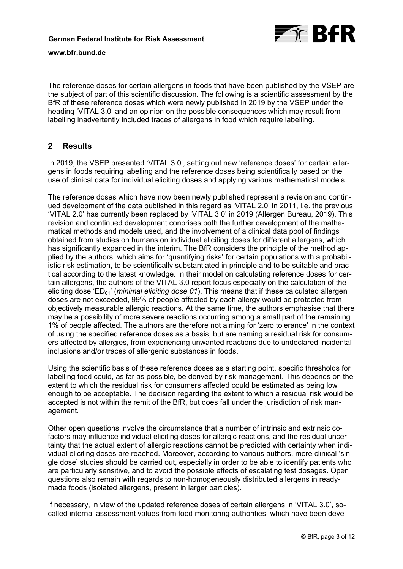

The reference doses for certain allergens in foods that have been published by the VSEP are the subject of part of this scientific discussion. The following is a scientific assessment by the BfR of these reference doses which were newly published in 2019 by the VSEP under the heading 'VITAL 3.0' and an opinion on the possible consequences which may result from labelling inadvertently included traces of allergens in food which require labelling.

# **2 Results**

In 2019, the VSEP presented 'VITAL 3.0', setting out new 'reference doses' for certain allergens in foods requiring labelling and the reference doses being scientifically based on the use of clinical data for individual eliciting doses and applying various mathematical models.

The reference doses which have now been newly published represent a revision and continued development of the data published in this regard as 'VITAL 2.0' in 2011, i.e. the previous 'VITAL 2.0' has currently been replaced by 'VITAL 3.0' in 2019 (Allergen Bureau, 2019). This revision and continued development conprises both the further development of the mathematical methods and models used, and the involvement of a clinical data pool of findings obtained from studies on humans on individual eliciting doses for different allergens, which has significantly expanded in the interim. The BfR considers the principle of the method applied by the authors, which aims for 'quantifying risks' for certain populations with a probabilistic risk estimation, to be scientifically substantiated in principle and to be suitable and practical according to the latest knowledge. In their model on calculating reference doses for certain allergens, the authors of the VITAL 3.0 report focus especially on the calculation of the eliciting dose 'ED<sub>01</sub>' (*minimal eliciting dose 01*). This means that if these calculated allergen doses are not exceeded, 99% of people affected by each allergy would be protected from objectively measurable allergic reactions. At the same time, the authors emphasise that there may be a possibility of more severe reactions occurring among a small part of the remaining 1% of people affected. The authors are therefore not aiming for 'zero tolerance' in the context of using the specified reference doses as a basis, but are naming a residual risk for consumers affected by allergies, from experiencing unwanted reactions due to undeclared incidental inclusions and/or traces of allergenic substances in foods.

Using the scientific basis of these reference doses as a starting point, specific thresholds for labelling food could, as far as possible, be derived by risk management. This depends on the extent to which the residual risk for consumers affected could be estimated as being low enough to be acceptable. The decision regarding the extent to which a residual risk would be accepted is not within the remit of the BfR, but does fall under the jurisdiction of risk management.

Other open questions involve the circumstance that a number of intrinsic and extrinsic cofactors may influence individual eliciting doses for allergic reactions, and the residual uncertainty that the actual extent of allergic reactions cannot be predicted with certainty when individual eliciting doses are reached. Moreover, according to various authors, more clinical 'single dose' studies should be carried out, especially in order to be able to identify patients who are particularly sensitive, and to avoid the possible effects of escalating test dosages. Open questions also remain with regards to non-homogeneously distributed allergens in readymade foods (isolated allergens, present in larger particles).

If necessary, in view of the updated reference doses of certain allergens in 'VITAL 3.0', socalled internal assessment values from food monitoring authorities, which have been devel-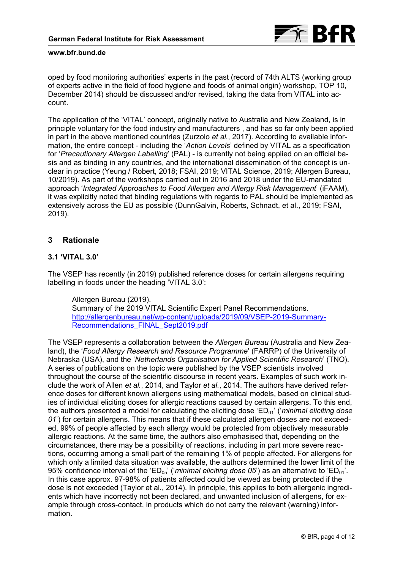

oped by food monitoring authorities' experts in the past (record of 74th ALTS (working group of experts active in the field of food hygiene and foods of animal origin) workshop, TOP 10, December 2014) should be discussed and/or revised, taking the data from VITAL into account.

The application of the 'VITAL' concept, originally native to Australia and New Zealand, is in principle voluntary for the food industry and manufacturers , and has so far only been applied in part in the above mentioned countries (Zurzolo *et al.*, 2017). According to available information, the entire concept - including the '*Action Levels*' defined by VITAL as a specification for '*Precautionary Allergen Labelling*' (PAL) - is currently not being applied on an official basis and as binding in any countries, and the international dissemination of the concept is unclear in practice (Yeung / Robert, 2018; FSAI, 2019; VITAL Science, 2019; Allergen Bureau, 10/2019). As part of the workshops carried out in 2016 and 2018 under the EU-mandated approach '*Integrated Approaches to Food Allergen and Allergy Risk Management*' (iFAAM), it was explicitly noted that binding regulations with regards to PAL should be implemented as extensively across the EU as possible (DunnGalvin, Roberts, Schnadt, et al., 2019; FSAI, 2019).

# **3 Rationale**

## **3.1 'VITAL 3.0'**

The VSEP has recently (in 2019) published reference doses for certain allergens requiring labelling in foods under the heading 'VITAL 3.0':

Allergen Bureau (2019). Summary of the 2019 VITAL Scientific Expert Panel Recommendations. [http://allergenbureau.net/wp-content/uploads/2019/09/VSEP-2019-Summary-](http://allergenbureau.net/wp-content/uploads/2019/09/VSEP-2019-Summary-Recommendations_FINAL_Sept2019.pdf)[Recommendations\\_FINAL\\_Sept2019.pdf](http://allergenbureau.net/wp-content/uploads/2019/09/VSEP-2019-Summary-Recommendations_FINAL_Sept2019.pdf)

The VSEP represents a collaboration between the *Allergen Bureau* (Australia and New Zealand), the '*Food Allergy Research and Resource Programme*' (FARRP) of the University of Nebraska (USA), and the '*Netherlands Organisation for Applied Scientific Research*' (TNO). A series of publications on the topic were published by the VSEP scientists involved throughout the course of the scientific discourse in recent years. Examples of such work include the work of Allen *et al.*, 2014, and Taylor *et al.*, 2014. The authors have derived reference doses for different known allergens using mathematical models, based on clinical studies of individual eliciting doses for allergic reactions caused by certain allergens. To this end, the authors presented a model for calculating the eliciting dose 'ED<sub>01</sub>' (*'minimal eliciting dose 01*') for certain allergens. This means that if these calculated allergen doses are not exceeded, 99% of people affected by each allergy would be protected from objectively measurable allergic reactions. At the same time, the authors also emphasised that, depending on the circumstances, there may be a possibility of reactions, including in part more severe reactions, occurring among a small part of the remaining 1% of people affected. For allergens for which only a limited data situation was available, the authors determined the lower limit of the 95% confidence interval of the 'ED<sub>05</sub>' ('*minimal eliciting dose 05'*) as an alternative to 'ED<sub>01</sub>'. In this case approx. 97-98% of patients affected could be viewed as being protected if the dose is not exceeded (Taylor et al., 2014). In principle, this applies to both allergenic ingredients which have incorrectly not been declared, and unwanted inclusion of allergens, for example through cross-contact, in products which do not carry the relevant (warning) information.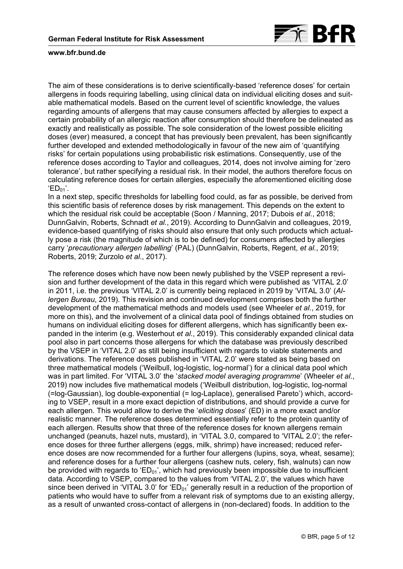

The aim of these considerations is to derive scientifically-based 'reference doses' for certain allergens in foods requiring labelling, using clinical data on individual eliciting doses and suitable mathematical models. Based on the current level of scientific knowledge, the values regarding amounts of allergens that may cause consumers affected by allergies to expect a certain probability of an allergic reaction after consumption should therefore be delineated as exactly and realistically as possible. The sole consideration of the lowest possible eliciting doses (ever) measured, a concept that has previously been prevalent, has been significantly further developed and extended methodologically in favour of the new aim of 'quantifying risks' for certain populations using probabilistic risk estimations. Consequently, use of the reference doses according to Taylor and colleagues, 2014, does not involve aiming for 'zero tolerance', but rather specifying a residual risk. In their model, the authors therefore focus on calculating reference doses for certain allergies, especially the aforementioned eliciting dose  $'ED_{01}$ .

In a next step, specific thresholds for labelling food could, as far as possible, be derived from this scientific basis of reference doses by risk management. This depends on the extent to which the residual risk could be acceptable (Soon / Manning, 2017; Dubois *et al.*, 2018; DunnGalvin, Roberts, Schnadt *et al.*, 2019). According to DunnGalvin and colleagues, 2019, evidence-based quantifying of risks should also ensure that only such products which actually pose a risk (the magnitude of which is to be defined) for consumers affected by allergies carry '*precautionary allergen labelling*' (PAL) (DunnGalvin, Roberts, Regent, *et al.*, 2019; Roberts, 2019; Zurzolo *et al.*, 2017).

The reference doses which have now been newly published by the VSEP represent a revision and further development of the data in this regard which were published as 'VITAL 2.0' in 2011, i.e. the previous 'VITAL 2.0' is currently being replaced in 2019 by 'VITAL 3.0' (*Allergen Bureau*, 2019). This revision and continued development comprises both the further development of the mathematical methods and models used (see Wheeler *et al.*, 2019, for more on this), and the involvement of a clinical data pool of findings obtained from studies on humans on individual eliciting doses for different allergens, which has significantly been expanded in the interim (e.g. Westerhout *et al.*, 2019). This considerably expanded clinical data pool also in part concerns those allergens for which the database was previously described by the VSEP in 'VITAL 2.0' as still being insufficient with regards to viable statements and derivations. The reference doses published in 'VITAL 2.0' were stated as being based on three mathematical models ('Weilbull, log-logistic, log-normal') for a clinical data pool which was in part limited. For 'VITAL 3.0' the '*stacked model averaging programme*' (Wheeler *et al.*, 2019) now includes five mathematical models ('Weilbull distribution, log-logistic, log-normal (=log-Gaussian), log double-exponential (= log-Laplace), generalised Pareto') which, according to VSEP, result in a more exact depiction of distributions, and should provide a curve for each allergen. This would allow to derive the '*eliciting doses*' (ED) in a more exact and/or realistic manner. The reference doses determined essentially refer to the protein quantity of each allergen. Results show that three of the reference doses for known allergens remain unchanged (peanuts, hazel nuts, mustard), in 'VITAL 3.0, compared to 'VITAL 2.0'; the reference doses for three further allergens (eggs, milk, shrimp) have increased; reduced reference doses are now recommended for a further four allergens (lupins, soya, wheat, sesame); and reference doses for a further four allergens (cashew nuts, celery, fish, walnuts) can now be provided with regards to ' $ED_{01}$ ', which had previously been impossible due to insufficient data. According to VSEP, compared to the values from 'VITAL 2.0', the values which have since been derived in 'VITAL 3.0' for 'ED $_{01}$ ' generally result in a reduction of the proportion of patients who would have to suffer from a relevant risk of symptoms due to an existing allergy, as a result of unwanted cross-contact of allergens in (non-declared) foods. In addition to the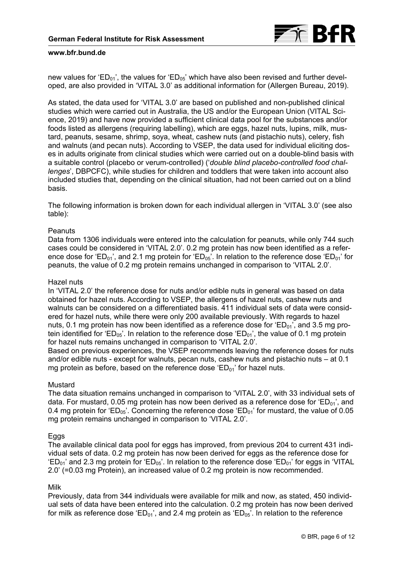

new values for 'ED<sub>01</sub>', the values for 'ED<sub>05</sub>' which have also been revised and further developed, are also provided in 'VITAL 3.0' as additional information for (Allergen Bureau, 2019).

As stated, the data used for 'VITAL 3.0' are based on published and non-published clinical studies which were carried out in Australia, the US and/or the European Union (VITAL Science, 2019) and have now provided a sufficient clinical data pool for the substances and/or foods listed as allergens (requiring labelling), which are eggs, hazel nuts, lupins, milk, mustard, peanuts, sesame, shrimp, soya, wheat, cashew nuts (and pistachio nuts), celery, fish and walnuts (and pecan nuts). According to VSEP, the data used for individual eliciting doses in adults originate from clinical studies which were carried out on a double-blind basis with a suitable control (placebo or verum-controlled) ('*double blind placebo-controlled food challenges*', DBPCFC), while studies for children and toddlers that were taken into account also included studies that, depending on the clinical situation, had not been carried out on a blind basis.

[The following information is broken down for each individual allergen in 'VITAL 3.0' \(see also](#page-7-0) table):

### **Peanuts**

Data from 1306 individuals were entered into the calculation for peanuts, while only 744 such cases could be considered in 'VITAL 2.0'. 0.2 mg protein has now been identified as a reference dose for 'ED<sub>01</sub>', and 2.1 mg protein for 'ED<sub>05</sub>'. In relation to the reference dose 'ED<sub>01</sub>' for peanuts, the value of 0.2 mg protein remains unchanged in comparison to 'VITAL 2.0'.

#### Hazel nuts

In 'VITAL 2.0' the reference dose for nuts and/or edible nuts in general was based on data obtained for hazel nuts. According to VSEP, the allergens of hazel nuts, cashew nuts and walnuts can be considered on a differentiated basis. 411 individual sets of data were considered for hazel nuts, while there were only 200 available previously. With regards to hazel nuts, 0.1 mg protein has now been identified as a reference dose for 'ED $_{01}$ ', and 3.5 mg protein identified for 'ED<sub>05</sub>'. In relation to the reference dose 'ED<sub>01</sub>', the value of 0.1 mg protein for hazel nuts remains unchanged in comparison to 'VITAL 2.0'.

Based on previous experiences, the VSEP recommends leaving the reference doses for nuts and/or edible nuts - except for walnuts, pecan nuts, cashew nuts and pistachio nuts – at 0.1 mg protein as before, based on the reference dose ' $ED_{01}$ ' for hazel nuts.

### Mustard

The data situation remains unchanged in comparison to 'VITAL 2.0', with 33 individual sets of data. For mustard, 0.05 mg protein has now been derived as a reference dose for 'ED $_{01}$ ', and 0.4 mg protein for 'ED<sub>05</sub>'. Concerning the reference dose 'ED<sub>01</sub>' for mustard, the value of 0.05 mg protein remains unchanged in comparison to 'VITAL 2.0'.

### Eggs

The available clinical data pool for eggs has improved, from previous 204 to current 431 individual sets of data. 0.2 mg protein has now been derived for eggs as the reference dose for  $E_{\text{D}01}$  and 2.3 mg protein for  $E_{\text{D}05}$ . In relation to the reference dose  $E_{\text{D}01}$  for eggs in 'VITAL' 2.0' (=0.03 mg Protein), an increased value of 0.2 mg protein is now recommended.

### Milk

Previously, data from 344 individuals were available for milk and now, as stated, 450 individual sets of data have been entered into the calculation. 0.2 mg protein has now been derived for milk as reference dose 'ED<sub>01</sub>', and 2.4 mg protein as 'ED<sub>05</sub>'. In relation to the reference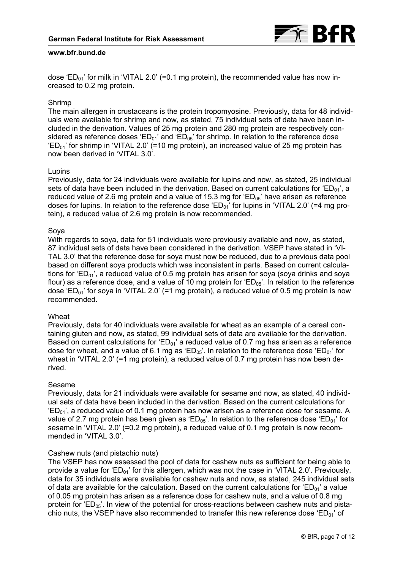

dose 'ED<sub>01</sub>' for milk in 'VITAL 2.0' (=0.1 mg protein), the recommended value has now increased to 0.2 mg protein.

## Shrimp

The main allergen in crustaceans is the protein tropomyosine. Previously, data for 48 individuals were available for shrimp and now, as stated, 75 individual sets of data have been included in the derivation. Values of 25 mg protein and 280 mg protein are respectively considered as reference doses ' $ED_{01}$ ' and ' $ED_{05}$ ' for shrimp. In relation to the reference dose  $ED<sub>01</sub>$ ' for shrimp in 'VITAL 2.0' (=10 mg protein), an increased value of 25 mg protein has now been derived in 'VITAL 3.0'.

### Lupins

Previously, data for 24 individuals were available for lupins and now, as stated, 25 individual sets of data have been included in the derivation. Based on current calculations for 'ED<sub>01</sub>', a reduced value of 2.6 mg protein and a value of 15.3 mg for  $E_{0.5}$  have arisen as reference doses for lupins. In relation to the reference dose  $E_{D_{01}}$  for lupins in 'VITAL 2.0' (=4 mg protein), a reduced value of 2.6 mg protein is now recommended.

### Soya

With regards to soya, data for 51 individuals were previously available and now, as stated, 87 individual sets of data have been considered in the derivation. VSEP have stated in 'VI-TAL 3.0' that the reference dose for soya must now be reduced, due to a previous data pool based on different soya products which was inconsistent in parts. Based on current calculations for 'ED<sub>01</sub>', a reduced value of 0.5 mg protein has arisen for soya (soya drinks and soya flour) as a reference dose, and a value of 10 mg protein for  $E_{0.6}$ . In relation to the reference dose 'ED<sub>01</sub>' for soya in 'VITAL 2.0' (=1 mg protein), a reduced value of 0.5 mg protein is now recommended.

## **Wheat**

Previously, data for 40 individuals were available for wheat as an example of a cereal containing gluten and now, as stated, 99 individual sets of data are available for the derivation. Based on current calculations for ' $ED_{01}$ ' a reduced value of 0.7 mg has arisen as a reference dose for wheat, and a value of 6.1 mg as ' $ED_{05}$ '. In relation to the reference dose ' $ED_{01}$ ' for wheat in 'VITAL 2.0' (=1 mg protein), a reduced value of 0.7 mg protein has now been derived.

## Sesame

Previously, data for 21 individuals were available for sesame and now, as stated, 40 individual sets of data have been included in the derivation. Based on the current calculations for  $ED<sub>01</sub>'$ , a reduced value of 0.1 mg protein has now arisen as a reference dose for sesame. A value of 2.7 mg protein has been given as 'ED<sub>05</sub>'. In relation to the reference dose 'ED<sub>01</sub>' for sesame in 'VITAL 2.0' (=0.2 mg protein), a reduced value of 0.1 mg protein is now recommended in 'VITAL 3.0'.

## Cashew nuts (and pistachio nuts)

The VSEP has now assessed the pool of data for cashew nuts as sufficient for being able to provide a value for ' $ED_{01}$ ' for this allergen, which was not the case in 'VITAL 2.0'. Previously, data for 35 individuals were available for cashew nuts and now, as stated, 245 individual sets of data are available for the calculation. Based on the current calculations for  $E_{01}$ ' a value of 0.05 mg protein has arisen as a reference dose for cashew nuts, and a value of 0.8 mg protein for ' $ED_{05}$ '. In view of the potential for cross-reactions between cashew nuts and pistachio nuts, the VSEP have also recommended to transfer this new reference dose 'ED $_{01}$ ' of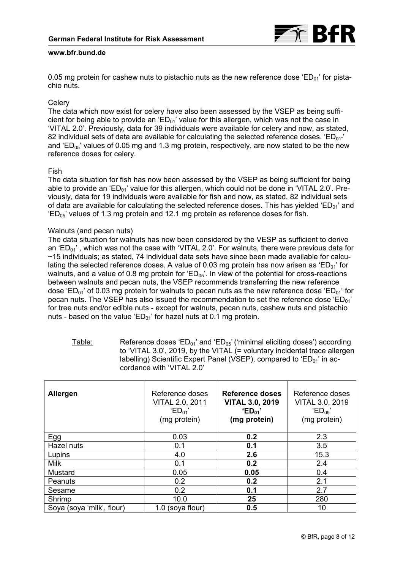

<span id="page-7-0"></span>0.05 mg protein for cashew nuts to pistachio nuts as the new reference dose 'ED $_{01}$ ' for pistachio nuts.

## **Celerv**

The data which now exist for celery have also been assessed by the VSEP as being sufficient for being able to provide an ' $ED_{01}$ ' value for this allergen, which was not the case in 'VITAL 2.0'. Previously, data for 39 individuals were available for celery and now, as stated, 82 individual sets of data are available for calculating the selected reference doses. 'ED $_{01''}$ ' and 'ED<sub>05</sub>' values of 0.05 mg and 1.3 mg protein, respectively, are now stated to be the new reference doses for celery.

## Fish

The data situation for fish has now been assessed by the VSEP as being sufficient for being able to provide an 'ED<sub>01</sub>' value for this allergen, which could not be done in 'VITAL 2.0'. Previously, data for 19 individuals were available for fish and now, as stated, 82 individual sets of data are available for calculating the selected reference doses. This has yielded 'ED $_{01}$ ' and  $ED<sub>05</sub>$ ' values of 1.3 mg protein and 12.1 mg protein as reference doses for fish.

## Walnuts (and pecan nuts)

The data situation for walnuts has now been considered by the VESP as sufficient to derive an 'ED $_{01}$ ', which was not the case with 'VITAL 2.0'. For walnuts, there were previous data for ~15 individuals; as stated, 74 individual data sets have since been made available for calculating the selected reference doses. A value of 0.03 mg protein has now arisen as 'ED $_{01}$ ' for walnuts, and a value of 0.8 mg protein for ' $ED_{05}$ '. In view of the potential for cross-reactions between walnuts and pecan nuts, the VSEP recommends transferring the new reference dose 'ED<sub>01</sub>' of 0.03 mg protein for walnuts to pecan nuts as the new reference dose 'ED<sub>01</sub>' for pecan nuts. The VSEP has also issued the recommendation to set the reference dose ' $ED_{01}$ ' for tree nuts and/or edible nuts - except for walnuts, pecan nuts, cashew nuts and pistachio nuts - based on the value ' $ED_{01}$ ' for hazel nuts at 0.1 mg protein.

| Table: | Reference doses ' $ED_{01}$ ' and ' $ED_{05}$ ' ('minimal eliciting doses') according |
|--------|---------------------------------------------------------------------------------------|
|        | to 'VITAL 3.0', 2019, by the VITAL (= voluntary incidental trace allergen             |
|        | labelling) Scientific Expert Panel (VSEP), compared to ' $ED_{01}$ ' in ac-           |
|        | cordance with 'VITAL 2.0'                                                             |

| <b>Allergen</b>           | Reference doses<br>VITAL 2.0, 2011<br>$'ED_{01}$<br>(mg protein) | Reference doses<br><b>VITAL 3.0, 2019</b><br>$E_{D_{01}}$<br>(mg protein) | Reference doses<br>VITAL 3.0, 2019<br>$'ED_{05}$<br>(mg protein) |
|---------------------------|------------------------------------------------------------------|---------------------------------------------------------------------------|------------------------------------------------------------------|
| Egg                       | 0.03                                                             | 0.2                                                                       | 2.3                                                              |
| Hazel nuts                | 0.1                                                              | 0.1                                                                       | 3.5                                                              |
| Lupins                    | 4.0                                                              | 2.6                                                                       | 15.3                                                             |
| <b>Milk</b>               | 0.1                                                              | 0.2                                                                       | 2.4                                                              |
| Mustard                   | 0.05                                                             | 0.05                                                                      | 0.4                                                              |
| Peanuts                   | 0.2                                                              | 0.2                                                                       | 2.1                                                              |
| Sesame                    | 0.2                                                              | 0.1                                                                       | 2.7                                                              |
| Shrimp                    | 10.0                                                             | 25                                                                        | 280                                                              |
| Soya (soya 'milk', flour) | 1.0 (soya flour)                                                 | 0.5                                                                       | 10                                                               |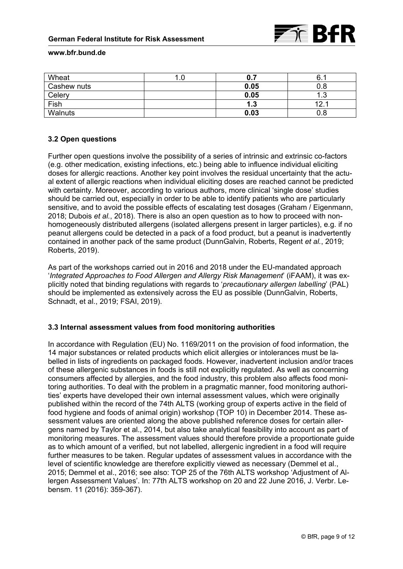| Wheat       | ı.u |      | 6.   |
|-------------|-----|------|------|
| Cashew nuts |     | 0.05 | 0.8  |
| Celery      |     | 0.05 | ں. ا |
| Fish        |     | 1.3  | 10   |
| Walnuts     |     | 0.03 | 0.8  |

## **3.2 Open questions**

Further open questions involve the possibility of a series of intrinsic and extrinsic co-factors (e.g. other medication, existing infections, etc.) being able to influence individual eliciting doses for allergic reactions. Another key point involves the residual uncertainty that the actual extent of allergic reactions when individual eliciting doses are reached cannot be predicted with certainty. Moreover, according to various authors, more clinical 'single dose' studies should be carried out, especially in order to be able to identify patients who are particularly sensitive, and to avoid the possible effects of escalating test dosages (Graham / Eigenmann, 2018; Dubois *et al.*, 2018). There is also an open question as to how to proceed with nonhomogeneously distributed allergens (isolated allergens present in larger particles), e.g. if no peanut allergens could be detected in a pack of a food product, but a peanut is inadvertently contained in another pack of the same product (DunnGalvin, Roberts, Regent *et al.*, 2019; Roberts, 2019).

As part of the workshops carried out in 2016 and 2018 under the EU-mandated approach '*Integrated Approaches to Food Allergen and Allergy Risk Management*' (iFAAM), it was explicitly noted that binding regulations with regards to '*precautionary allergen labelling*' (PAL) should be implemented as extensively across the EU as possible (DunnGalvin, Roberts, Schnadt, et al., 2019; FSAI, 2019).

## **3.3 Internal assessment values from food monitoring authorities**

In accordance with Regulation (EU) No. 1169/2011 on the provision of food information, the 14 major substances or related products which elicit allergies or intolerances must be labelled in lists of ingredients on packaged foods. However, inadvertent inclusion and/or traces of these allergenic substances in foods is still not explicitly regulated. As well as concerning consumers affected by allergies, and the food industry, this problem also affects food monitoring authorities. To deal with the problem in a pragmatic manner, food monitoring authorities' experts have developed their own internal assessment values, which were originally published within the record of the 74th ALTS (working group of experts active in the field of food hygiene and foods of animal origin) workshop (TOP 10) in December 2014. These assessment values are oriented along the above published reference doses for certain allergens named by Taylor et al., 2014, but also take analytical feasibility into account as part of monitoring measures. The assessment values should therefore provide a proportionate guide as to which amount of a verified, but not labelled, allergenic ingredient in a food will require further measures to be taken. Regular updates of assessment values in accordance with the level of scientific knowledge are therefore explicitly viewed as necessary (Demmel et al., 2015; Demmel et al., 2016; see also: TOP 25 of the 76th ALTS workshop 'Adjustment of Allergen Assessment Values'. In: 77th ALTS workshop on 20 and 22 June 2016, J. Verbr. Lebensm. 11 (2016): 359-367).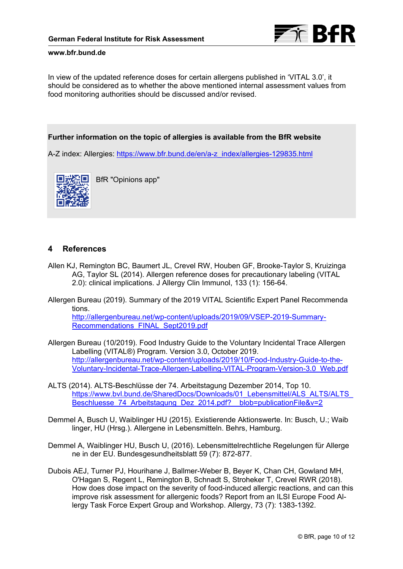

In view of the updated reference doses for certain allergens published in 'VITAL 3.0', it should be considered as to whether the above mentioned internal assessment values from food monitoring authorities should be discussed and/or revised.

# **Further information on the topic of allergies is available from the BfR website**

A-Z index: Allergies: [https://www.bfr.bund.de/en/a-z\\_index/allergies-129835.html](https://www.bfr.bund.de/en/a-z_index/allergies-129835.html)



BfR "Opinions app"

# **4 References**

- Allen KJ, Remington BC, Baumert JL, Crevel RW, Houben GF, Brooke-Taylor S, Kruizinga AG, Taylor SL (2014). Allergen reference doses for precautionary labeling (VITAL 2.0): clinical implications. J Allergy Clin Immunol, 133 (1): 156-64.
- Allergen Bureau (2019). Summary of the 2019 VITAL Scientific Expert Panel Recommenda tions.

[http://allergenbureau.net/wp-content/uploads/2019/09/VSEP-2019-Summary-](http://allergenbureau.net/wp-content/uploads/2019/09/VSEP-2019-Summary-Recommendations_FINAL_Sept2019.pdf)[Recommendations\\_FINAL\\_Sept2019.pdf](http://allergenbureau.net/wp-content/uploads/2019/09/VSEP-2019-Summary-Recommendations_FINAL_Sept2019.pdf)

- Allergen Bureau (10/2019). Food Industry Guide to the Voluntary Incidental Trace Allergen Labelling (VITAL®) Program. Version 3.0, October 2019. [http://allergenbureau.net/wp-content/uploads/2019/10/Food-Industry-Guide-to-the-](http://allergenbureau.net/wp-content/uploads/2019/10/Food-Industry-Guide-to-the-Voluntary-Incidental-Trace-Allergen-Labelling-VITAL-Program-Version-3.0_Web.pdf)[Voluntary-Incidental-Trace-Allergen-Labelling-VITAL-Program-Version-3.0\\_Web.pdf](http://allergenbureau.net/wp-content/uploads/2019/10/Food-Industry-Guide-to-the-Voluntary-Incidental-Trace-Allergen-Labelling-VITAL-Program-Version-3.0_Web.pdf)
- ALTS (2014). ALTS-Beschlüsse der 74. Arbeitstagung Dezember 2014, Top 10. https://www.bvl.bund.de/SharedDocs/Downloads/01\_Lebensmittel/ALS\_ALTS/ALTS Beschluesse 74 Arbeitstagung Dez 2014.pdf? blob=publicationFile&v=2
- Demmel A, Busch U, Waiblinger HU (2015). Existierende Aktionswerte. In: Busch, U.; Waib linger, HU (Hrsg.). Allergene in Lebensmitteln. Behrs, Hamburg.
- Demmel A, Waiblinger HU, Busch U, (2016). Lebensmittelrechtliche Regelungen für Allerge ne in der EU. Bundesgesundheitsblatt 59 (7): 872-877.
- Dubois AEJ, Turner PJ, Hourihane J, Ballmer-Weber B, Beyer K, Chan CH, Gowland MH, O'Hagan S, Regent L, Remington B, Schnadt S, Stroheker T, Crevel RWR (2018). How does dose impact on the severity of food-induced allergic reactions, and can this improve risk assessment for allergenic foods? Report from an ILSI Europe Food Allergy Task Force Expert Group and Workshop. Allergy, 73 (7): 1383-1392.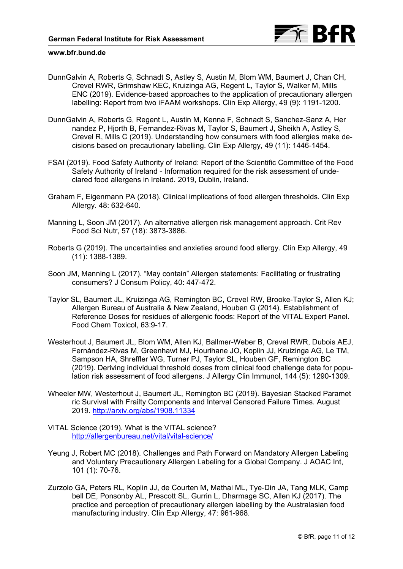

- DunnGalvin A, Roberts G, Schnadt S, Astley S, Austin M, Blom WM, Baumert J, Chan CH, Crevel RWR, Grimshaw KEC, Kruizinga AG, Regent L, Taylor S, Walker M, Mills ENC (2019). Evidence-based approaches to the application of precautionary allergen labelling: Report from two iFAAM workshops. Clin Exp Allergy, 49 (9): 1191-1200.
- DunnGalvin A, Roberts G, Regent L, Austin M, Kenna F, Schnadt S, Sanchez-Sanz A, Her nandez P, Hjorth B, Fernandez-Rivas M, Taylor S, Baumert J, Sheikh A, Astley S, Crevel R, Mills C (2019). Understanding how consumers with food allergies make decisions based on precautionary labelling. Clin Exp Allergy, 49 (11): 1446-1454.
- FSAI (2019). Food Safety Authority of Ireland: Report of the Scientific Committee of the Food Safety Authority of Ireland - Information required for the risk assessment of undeclared food allergens in Ireland. 2019, Dublin, Ireland.
- Graham F, Eigenmann PA (2018). Clinical implications of food allergen thresholds. Clin Exp Allergy. 48: 632-640.
- Manning L, Soon JM (2017). An alternative allergen risk management approach. Crit Rev Food Sci Nutr, 57 (18): 3873-3886.
- Roberts G (2019). The uncertainties and anxieties around food allergy. Clin Exp Allergy, 49 (11): 1388-1389.
- Soon JM, Manning L (2017). "May contain" Allergen statements: Facilitating or frustrating consumers? J Consum Policy, 40: 447-472.
- Taylor SL, Baumert JL, Kruizinga AG, Remington BC, Crevel RW, Brooke-Taylor S, Allen KJ; Allergen Bureau of Australia & New Zealand, Houben G (2014). Establishment of Reference Doses for residues of allergenic foods: Report of the VITAL Expert Panel. Food Chem Toxicol, 63:9-17.
- Westerhout J, Baumert JL, Blom WM, Allen KJ, Ballmer-Weber B, Crevel RWR, Dubois AEJ, Fernández-Rivas M, Greenhawt MJ, Hourihane JO, Koplin JJ, Kruizinga AG, Le TM, Sampson HA, Shreffler WG, Turner PJ, Taylor SL, Houben GF, Remington BC (2019). Deriving individual threshold doses from clinical food challenge data for population risk assessment of food allergens. J Allergy Clin Immunol, 144 (5): 1290-1309.
- Wheeler MW, Westerhout J, Baumert JL, Remington BC (2019). Bayesian Stacked Paramet ric Survival with Frailty Components and Interval Censored Failure Times. August 2019.<http://arxiv.org/abs/1908.11334>
- VITAL Science (2019). What is the VITAL science? <http://allergenbureau.net/vital/vital-science/>
- Yeung J, Robert MC (2018). Challenges and Path Forward on Mandatory Allergen Labeling and Voluntary Precautionary Allergen Labeling for a Global Company. J AOAC Int, 101 (1): 70-76.
- Zurzolo GA, Peters RL, Koplin JJ, de Courten M, Mathai ML, Tye‐Din JA, Tang MLK, Camp bell DE, Ponsonby AL, Prescott SL, Gurrin L, Dharmage SC, Allen KJ (2017). The practice and perception of precautionary allergen labelling by the Australasian food manufacturing industry. Clin Exp Allergy, 47: 961-968.